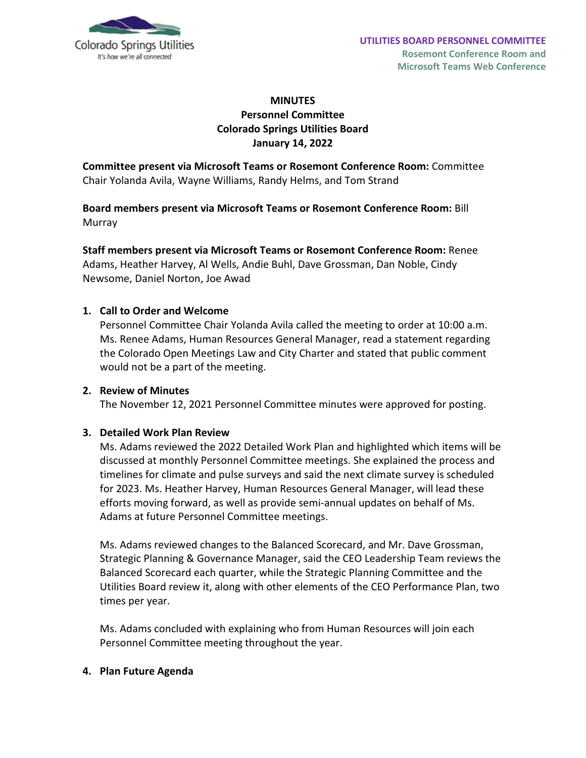

# **MINUTES Personnel Committee Colorado Springs Utilities Board January 14, 2022**

**Committee present via Microsoft Teams or Rosemont Conference Room:** Committee Chair Yolanda Avila, Wayne Williams, Randy Helms, and Tom Strand

**Board members present via Microsoft Teams or Rosemont Conference Room:** Bill Murray

**Staff members present via Microsoft Teams or Rosemont Conference Room:** Renee Adams, Heather Harvey, Al Wells, Andie Buhl, Dave Grossman, Dan Noble, Cindy Newsome, Daniel Norton, Joe Awad

## **1. Call to Order and Welcome**

Personnel Committee Chair Yolanda Avila called the meeting to order at 10:00 a.m. Ms. Renee Adams, Human Resources General Manager, read a statement regarding the Colorado Open Meetings Law and City Charter and stated that public comment would not be a part of the meeting.

## **2. Review of Minutes**

The November 12, 2021 Personnel Committee minutes were approved for posting.

#### **3. Detailed Work Plan Review**

Ms. Adams reviewed the 2022 Detailed Work Plan and highlighted which items will be discussed at monthly Personnel Committee meetings. She explained the process and timelines for climate and pulse surveys and said the next climate survey is scheduled for 2023. Ms. Heather Harvey, Human Resources General Manager, will lead these efforts moving forward, as well as provide semi-annual updates on behalf of Ms. Adams at future Personnel Committee meetings.

Ms. Adams reviewed changes to the Balanced Scorecard, and Mr. Dave Grossman, Strategic Planning & Governance Manager, said the CEO Leadership Team reviews the Balanced Scorecard each quarter, while the Strategic Planning Committee and the Utilities Board review it, along with other elements of the CEO Performance Plan, two times per year.

Ms. Adams concluded with explaining who from Human Resources will join each Personnel Committee meeting throughout the year.

#### **4. Plan Future Agenda**